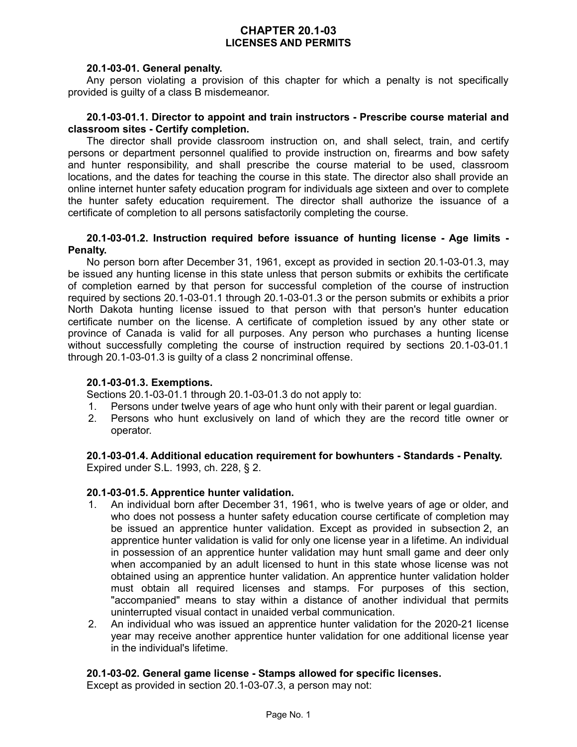## **CHAPTER 20.1-03 LICENSES AND PERMITS**

### **20.1-03-01. General penalty.**

Any person violating a provision of this chapter for which a penalty is not specifically provided is guilty of a class B misdemeanor.

### **20.1-03-01.1. Director to appoint and train instructors - Prescribe course material and classroom sites - Certify completion.**

The director shall provide classroom instruction on, and shall select, train, and certify persons or department personnel qualified to provide instruction on, firearms and bow safety and hunter responsibility, and shall prescribe the course material to be used, classroom locations, and the dates for teaching the course in this state. The director also shall provide an online internet hunter safety education program for individuals age sixteen and over to complete the hunter safety education requirement. The director shall authorize the issuance of a certificate of completion to all persons satisfactorily completing the course.

### **20.1-03-01.2. Instruction required before issuance of hunting license - Age limits - Penalty.**

No person born after December 31, 1961, except as provided in section 20.1-03-01.3, may be issued any hunting license in this state unless that person submits or exhibits the certificate of completion earned by that person for successful completion of the course of instruction required by sections 20.1-03-01.1 through 20.1-03-01.3 or the person submits or exhibits a prior North Dakota hunting license issued to that person with that person's hunter education certificate number on the license. A certificate of completion issued by any other state or province of Canada is valid for all purposes. Any person who purchases a hunting license without successfully completing the course of instruction required by sections 20.1-03-01.1 through 20.1-03-01.3 is guilty of a class 2 noncriminal offense.

### **20.1-03-01.3. Exemptions.**

Sections 20.1-03-01.1 through 20.1-03-01.3 do not apply to:

- 1. Persons under twelve years of age who hunt only with their parent or legal guardian.
- 2. Persons who hunt exclusively on land of which they are the record title owner or operator.

**20.1-03-01.4. Additional education requirement for bowhunters - Standards - Penalty.** Expired under S.L. 1993, ch. 228, § 2.

### **20.1-03-01.5. Apprentice hunter validation.**

- 1. An individual born after December 31, 1961, who is twelve years of age or older, and who does not possess a hunter safety education course certificate of completion may be issued an apprentice hunter validation. Except as provided in subsection 2, an apprentice hunter validation is valid for only one license year in a lifetime. An individual in possession of an apprentice hunter validation may hunt small game and deer only when accompanied by an adult licensed to hunt in this state whose license was not obtained using an apprentice hunter validation. An apprentice hunter validation holder must obtain all required licenses and stamps. For purposes of this section, "accompanied" means to stay within a distance of another individual that permits uninterrupted visual contact in unaided verbal communication.
- 2. An individual who was issued an apprentice hunter validation for the 2020-21 license year may receive another apprentice hunter validation for one additional license year in the individual's lifetime.

### **20.1-03-02. General game license - Stamps allowed for specific licenses.**

Except as provided in section 20.1-03-07.3, a person may not: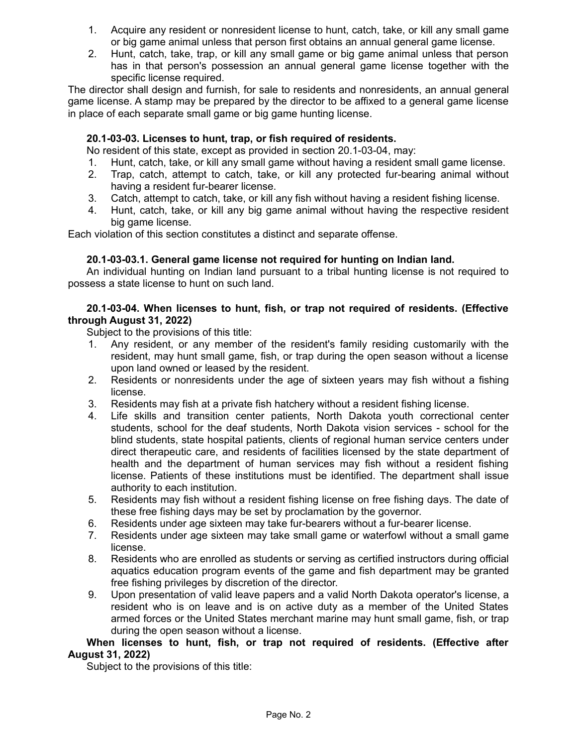- 1. Acquire any resident or nonresident license to hunt, catch, take, or kill any small game or big game animal unless that person first obtains an annual general game license.
- 2. Hunt, catch, take, trap, or kill any small game or big game animal unless that person has in that person's possession an annual general game license together with the specific license required.

The director shall design and furnish, for sale to residents and nonresidents, an annual general game license. A stamp may be prepared by the director to be affixed to a general game license in place of each separate small game or big game hunting license.

## **20.1-03-03. Licenses to hunt, trap, or fish required of residents.**

No resident of this state, except as provided in section 20.1-03-04, may:

- 1. Hunt, catch, take, or kill any small game without having a resident small game license.
- 2. Trap, catch, attempt to catch, take, or kill any protected fur-bearing animal without having a resident fur-bearer license.
- 3. Catch, attempt to catch, take, or kill any fish without having a resident fishing license.
- 4. Hunt, catch, take, or kill any big game animal without having the respective resident big game license.

Each violation of this section constitutes a distinct and separate offense.

## **20.1-03-03.1. General game license not required for hunting on Indian land.**

An individual hunting on Indian land pursuant to a tribal hunting license is not required to possess a state license to hunt on such land.

## **20.1-03-04. When licenses to hunt, fish, or trap not required of residents. (Effective through August 31, 2022)**

Subject to the provisions of this title:

- 1. Any resident, or any member of the resident's family residing customarily with the resident, may hunt small game, fish, or trap during the open season without a license upon land owned or leased by the resident.
- 2. Residents or nonresidents under the age of sixteen years may fish without a fishing license.
- 3. Residents may fish at a private fish hatchery without a resident fishing license.
- 4. Life skills and transition center patients, North Dakota youth correctional center students, school for the deaf students, North Dakota vision services - school for the blind students, state hospital patients, clients of regional human service centers under direct therapeutic care, and residents of facilities licensed by the state department of health and the department of human services may fish without a resident fishing license. Patients of these institutions must be identified. The department shall issue authority to each institution.
- 5. Residents may fish without a resident fishing license on free fishing days. The date of these free fishing days may be set by proclamation by the governor.
- 6. Residents under age sixteen may take fur-bearers without a fur-bearer license.
- 7. Residents under age sixteen may take small game or waterfowl without a small game license.
- 8. Residents who are enrolled as students or serving as certified instructors during official aquatics education program events of the game and fish department may be granted free fishing privileges by discretion of the director.
- 9. Upon presentation of valid leave papers and a valid North Dakota operator's license, a resident who is on leave and is on active duty as a member of the United States armed forces or the United States merchant marine may hunt small game, fish, or trap during the open season without a license.

### **When licenses to hunt, fish, or trap not required of residents. (Effective after August 31, 2022)**

Subject to the provisions of this title: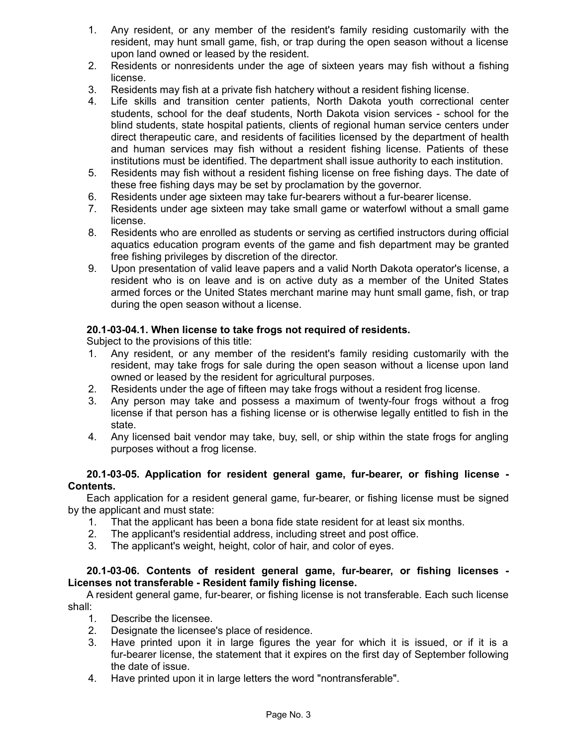- 1. Any resident, or any member of the resident's family residing customarily with the resident, may hunt small game, fish, or trap during the open season without a license upon land owned or leased by the resident.
- 2. Residents or nonresidents under the age of sixteen years may fish without a fishing license.
- 3. Residents may fish at a private fish hatchery without a resident fishing license.
- 4. Life skills and transition center patients, North Dakota youth correctional center students, school for the deaf students, North Dakota vision services - school for the blind students, state hospital patients, clients of regional human service centers under direct therapeutic care, and residents of facilities licensed by the department of health and human services may fish without a resident fishing license. Patients of these institutions must be identified. The department shall issue authority to each institution.
- 5. Residents may fish without a resident fishing license on free fishing days. The date of these free fishing days may be set by proclamation by the governor.
- 6. Residents under age sixteen may take fur-bearers without a fur-bearer license.
- 7. Residents under age sixteen may take small game or waterfowl without a small game license.
- 8. Residents who are enrolled as students or serving as certified instructors during official aquatics education program events of the game and fish department may be granted free fishing privileges by discretion of the director.
- 9. Upon presentation of valid leave papers and a valid North Dakota operator's license, a resident who is on leave and is on active duty as a member of the United States armed forces or the United States merchant marine may hunt small game, fish, or trap during the open season without a license.

## **20.1-03-04.1. When license to take frogs not required of residents.**

Subject to the provisions of this title:

- 1. Any resident, or any member of the resident's family residing customarily with the resident, may take frogs for sale during the open season without a license upon land owned or leased by the resident for agricultural purposes.
- 2. Residents under the age of fifteen may take frogs without a resident frog license.
- 3. Any person may take and possess a maximum of twenty-four frogs without a frog license if that person has a fishing license or is otherwise legally entitled to fish in the state.
- 4. Any licensed bait vendor may take, buy, sell, or ship within the state frogs for angling purposes without a frog license.

## **20.1-03-05. Application for resident general game, fur-bearer, or fishing license - Contents.**

Each application for a resident general game, fur-bearer, or fishing license must be signed by the applicant and must state:

- 1. That the applicant has been a bona fide state resident for at least six months.
- 2. The applicant's residential address, including street and post office.
- 3. The applicant's weight, height, color of hair, and color of eyes.

## **20.1-03-06. Contents of resident general game, fur-bearer, or fishing licenses - Licenses not transferable - Resident family fishing license.**

A resident general game, fur-bearer, or fishing license is not transferable. Each such license shall:

- 1. Describe the licensee.
- 2. Designate the licensee's place of residence.
- 3. Have printed upon it in large figures the year for which it is issued, or if it is a fur-bearer license, the statement that it expires on the first day of September following the date of issue.
- 4. Have printed upon it in large letters the word "nontransferable".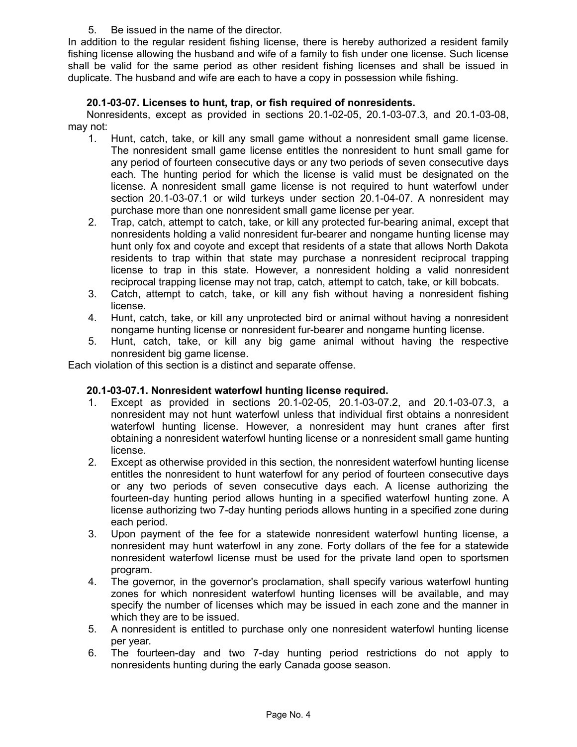5. Be issued in the name of the director.

In addition to the regular resident fishing license, there is hereby authorized a resident family fishing license allowing the husband and wife of a family to fish under one license. Such license shall be valid for the same period as other resident fishing licenses and shall be issued in duplicate. The husband and wife are each to have a copy in possession while fishing.

## **20.1-03-07. Licenses to hunt, trap, or fish required of nonresidents.**

Nonresidents, except as provided in sections 20.1-02-05, 20.1-03-07.3, and 20.1-03-08, may not:

- 1. Hunt, catch, take, or kill any small game without a nonresident small game license. The nonresident small game license entitles the nonresident to hunt small game for any period of fourteen consecutive days or any two periods of seven consecutive days each. The hunting period for which the license is valid must be designated on the license. A nonresident small game license is not required to hunt waterfowl under section 20.1-03-07.1 or wild turkeys under section 20.1-04-07. A nonresident may purchase more than one nonresident small game license per year.
- 2. Trap, catch, attempt to catch, take, or kill any protected fur-bearing animal, except that nonresidents holding a valid nonresident fur-bearer and nongame hunting license may hunt only fox and coyote and except that residents of a state that allows North Dakota residents to trap within that state may purchase a nonresident reciprocal trapping license to trap in this state. However, a nonresident holding a valid nonresident reciprocal trapping license may not trap, catch, attempt to catch, take, or kill bobcats.
- 3. Catch, attempt to catch, take, or kill any fish without having a nonresident fishing license.
- 4. Hunt, catch, take, or kill any unprotected bird or animal without having a nonresident nongame hunting license or nonresident fur-bearer and nongame hunting license.
- 5. Hunt, catch, take, or kill any big game animal without having the respective nonresident big game license.

Each violation of this section is a distinct and separate offense.

## **20.1-03-07.1. Nonresident waterfowl hunting license required.**

- 1. Except as provided in sections 20.1-02-05, 20.1-03-07.2, and 20.1-03-07.3, a nonresident may not hunt waterfowl unless that individual first obtains a nonresident waterfowl hunting license. However, a nonresident may hunt cranes after first obtaining a nonresident waterfowl hunting license or a nonresident small game hunting license.
- 2. Except as otherwise provided in this section, the nonresident waterfowl hunting license entitles the nonresident to hunt waterfowl for any period of fourteen consecutive days or any two periods of seven consecutive days each. A license authorizing the fourteen-day hunting period allows hunting in a specified waterfowl hunting zone. A license authorizing two 7-day hunting periods allows hunting in a specified zone during each period.
- 3. Upon payment of the fee for a statewide nonresident waterfowl hunting license, a nonresident may hunt waterfowl in any zone. Forty dollars of the fee for a statewide nonresident waterfowl license must be used for the private land open to sportsmen program.
- 4. The governor, in the governor's proclamation, shall specify various waterfowl hunting zones for which nonresident waterfowl hunting licenses will be available, and may specify the number of licenses which may be issued in each zone and the manner in which they are to be issued.
- 5. A nonresident is entitled to purchase only one nonresident waterfowl hunting license per year.
- 6. The fourteen-day and two 7-day hunting period restrictions do not apply to nonresidents hunting during the early Canada goose season.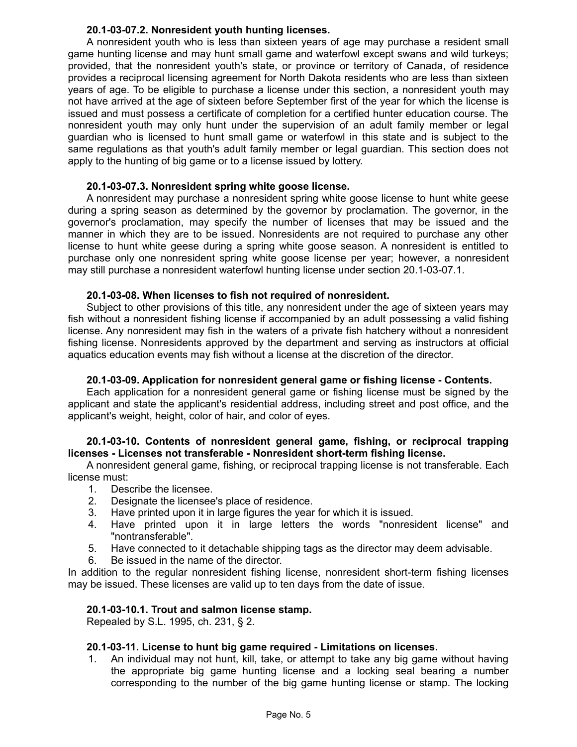## **20.1-03-07.2. Nonresident youth hunting licenses.**

A nonresident youth who is less than sixteen years of age may purchase a resident small game hunting license and may hunt small game and waterfowl except swans and wild turkeys; provided, that the nonresident youth's state, or province or territory of Canada, of residence provides a reciprocal licensing agreement for North Dakota residents who are less than sixteen years of age. To be eligible to purchase a license under this section, a nonresident youth may not have arrived at the age of sixteen before September first of the year for which the license is issued and must possess a certificate of completion for a certified hunter education course. The nonresident youth may only hunt under the supervision of an adult family member or legal guardian who is licensed to hunt small game or waterfowl in this state and is subject to the same regulations as that youth's adult family member or legal guardian. This section does not apply to the hunting of big game or to a license issued by lottery.

### **20.1-03-07.3. Nonresident spring white goose license.**

A nonresident may purchase a nonresident spring white goose license to hunt white geese during a spring season as determined by the governor by proclamation. The governor, in the governor's proclamation, may specify the number of licenses that may be issued and the manner in which they are to be issued. Nonresidents are not required to purchase any other license to hunt white geese during a spring white goose season. A nonresident is entitled to purchase only one nonresident spring white goose license per year; however, a nonresident may still purchase a nonresident waterfowl hunting license under section 20.1-03-07.1.

### **20.1-03-08. When licenses to fish not required of nonresident.**

Subject to other provisions of this title, any nonresident under the age of sixteen years may fish without a nonresident fishing license if accompanied by an adult possessing a valid fishing license. Any nonresident may fish in the waters of a private fish hatchery without a nonresident fishing license. Nonresidents approved by the department and serving as instructors at official aquatics education events may fish without a license at the discretion of the director.

### **20.1-03-09. Application for nonresident general game or fishing license - Contents.**

Each application for a nonresident general game or fishing license must be signed by the applicant and state the applicant's residential address, including street and post office, and the applicant's weight, height, color of hair, and color of eyes.

### **20.1-03-10. Contents of nonresident general game, fishing, or reciprocal trapping licenses - Licenses not transferable - Nonresident short-term fishing license.**

A nonresident general game, fishing, or reciprocal trapping license is not transferable. Each license must:

- 1. Describe the licensee.
- 2. Designate the licensee's place of residence.
- 3. Have printed upon it in large figures the year for which it is issued.
- 4. Have printed upon it in large letters the words "nonresident license" and "nontransferable".
- 5. Have connected to it detachable shipping tags as the director may deem advisable.
- 6. Be issued in the name of the director.

In addition to the regular nonresident fishing license, nonresident short-term fishing licenses may be issued. These licenses are valid up to ten days from the date of issue.

### **20.1-03-10.1. Trout and salmon license stamp.**

Repealed by S.L. 1995, ch. 231, § 2.

### **20.1-03-11. License to hunt big game required - Limitations on licenses.**

1. An individual may not hunt, kill, take, or attempt to take any big game without having the appropriate big game hunting license and a locking seal bearing a number corresponding to the number of the big game hunting license or stamp. The locking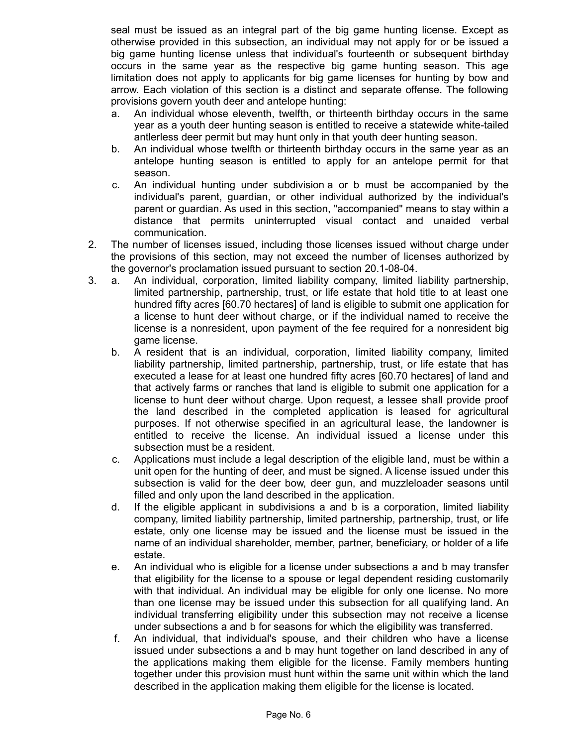seal must be issued as an integral part of the big game hunting license. Except as otherwise provided in this subsection, an individual may not apply for or be issued a big game hunting license unless that individual's fourteenth or subsequent birthday occurs in the same year as the respective big game hunting season. This age limitation does not apply to applicants for big game licenses for hunting by bow and arrow. Each violation of this section is a distinct and separate offense. The following provisions govern youth deer and antelope hunting:

- a. An individual whose eleventh, twelfth, or thirteenth birthday occurs in the same year as a youth deer hunting season is entitled to receive a statewide white-tailed antlerless deer permit but may hunt only in that youth deer hunting season.
- b. An individual whose twelfth or thirteenth birthday occurs in the same year as an antelope hunting season is entitled to apply for an antelope permit for that season.
- c. An individual hunting under subdivision a or b must be accompanied by the individual's parent, guardian, or other individual authorized by the individual's parent or guardian. As used in this section, "accompanied" means to stay within a distance that permits uninterrupted visual contact and unaided verbal communication.
- 2. The number of licenses issued, including those licenses issued without charge under the provisions of this section, may not exceed the number of licenses authorized by the governor's proclamation issued pursuant to section 20.1-08-04.
- 3. a. An individual, corporation, limited liability company, limited liability partnership, limited partnership, partnership, trust, or life estate that hold title to at least one hundred fifty acres [60.70 hectares] of land is eligible to submit one application for a license to hunt deer without charge, or if the individual named to receive the license is a nonresident, upon payment of the fee required for a nonresident big game license.
	- b. A resident that is an individual, corporation, limited liability company, limited liability partnership, limited partnership, partnership, trust, or life estate that has executed a lease for at least one hundred fifty acres [60.70 hectares] of land and that actively farms or ranches that land is eligible to submit one application for a license to hunt deer without charge. Upon request, a lessee shall provide proof the land described in the completed application is leased for agricultural purposes. If not otherwise specified in an agricultural lease, the landowner is entitled to receive the license. An individual issued a license under this subsection must be a resident.
	- c. Applications must include a legal description of the eligible land, must be within a unit open for the hunting of deer, and must be signed. A license issued under this subsection is valid for the deer bow, deer gun, and muzzleloader seasons until filled and only upon the land described in the application.
	- d. If the eligible applicant in subdivisions a and b is a corporation, limited liability company, limited liability partnership, limited partnership, partnership, trust, or life estate, only one license may be issued and the license must be issued in the name of an individual shareholder, member, partner, beneficiary, or holder of a life estate.
	- e. An individual who is eligible for a license under subsections a and b may transfer that eligibility for the license to a spouse or legal dependent residing customarily with that individual. An individual may be eligible for only one license. No more than one license may be issued under this subsection for all qualifying land. An individual transferring eligibility under this subsection may not receive a license under subsections a and b for seasons for which the eligibility was transferred.
	- f. An individual, that individual's spouse, and their children who have a license issued under subsections a and b may hunt together on land described in any of the applications making them eligible for the license. Family members hunting together under this provision must hunt within the same unit within which the land described in the application making them eligible for the license is located.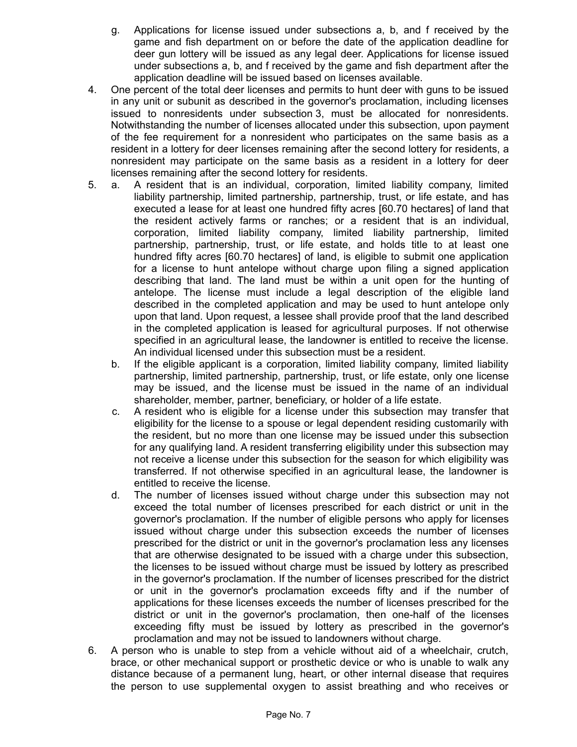- g. Applications for license issued under subsections a, b, and f received by the game and fish department on or before the date of the application deadline for deer gun lottery will be issued as any legal deer. Applications for license issued under subsections a, b, and f received by the game and fish department after the application deadline will be issued based on licenses available.
- 4. One percent of the total deer licenses and permits to hunt deer with guns to be issued in any unit or subunit as described in the governor's proclamation, including licenses issued to nonresidents under subsection 3, must be allocated for nonresidents. Notwithstanding the number of licenses allocated under this subsection, upon payment of the fee requirement for a nonresident who participates on the same basis as a resident in a lottery for deer licenses remaining after the second lottery for residents, a nonresident may participate on the same basis as a resident in a lottery for deer licenses remaining after the second lottery for residents.
- 5. a. A resident that is an individual, corporation, limited liability company, limited liability partnership, limited partnership, partnership, trust, or life estate, and has executed a lease for at least one hundred fifty acres [60.70 hectares] of land that the resident actively farms or ranches; or a resident that is an individual, corporation, limited liability company, limited liability partnership, limited partnership, partnership, trust, or life estate, and holds title to at least one hundred fifty acres [60.70 hectares] of land, is eligible to submit one application for a license to hunt antelope without charge upon filing a signed application describing that land. The land must be within a unit open for the hunting of antelope. The license must include a legal description of the eligible land described in the completed application and may be used to hunt antelope only upon that land. Upon request, a lessee shall provide proof that the land described in the completed application is leased for agricultural purposes. If not otherwise specified in an agricultural lease, the landowner is entitled to receive the license. An individual licensed under this subsection must be a resident.
	- b. If the eligible applicant is a corporation, limited liability company, limited liability partnership, limited partnership, partnership, trust, or life estate, only one license may be issued, and the license must be issued in the name of an individual shareholder, member, partner, beneficiary, or holder of a life estate.
	- c. A resident who is eligible for a license under this subsection may transfer that eligibility for the license to a spouse or legal dependent residing customarily with the resident, but no more than one license may be issued under this subsection for any qualifying land. A resident transferring eligibility under this subsection may not receive a license under this subsection for the season for which eligibility was transferred. If not otherwise specified in an agricultural lease, the landowner is entitled to receive the license.
	- d. The number of licenses issued without charge under this subsection may not exceed the total number of licenses prescribed for each district or unit in the governor's proclamation. If the number of eligible persons who apply for licenses issued without charge under this subsection exceeds the number of licenses prescribed for the district or unit in the governor's proclamation less any licenses that are otherwise designated to be issued with a charge under this subsection, the licenses to be issued without charge must be issued by lottery as prescribed in the governor's proclamation. If the number of licenses prescribed for the district or unit in the governor's proclamation exceeds fifty and if the number of applications for these licenses exceeds the number of licenses prescribed for the district or unit in the governor's proclamation, then one-half of the licenses exceeding fifty must be issued by lottery as prescribed in the governor's proclamation and may not be issued to landowners without charge.
- 6. A person who is unable to step from a vehicle without aid of a wheelchair, crutch, brace, or other mechanical support or prosthetic device or who is unable to walk any distance because of a permanent lung, heart, or other internal disease that requires the person to use supplemental oxygen to assist breathing and who receives or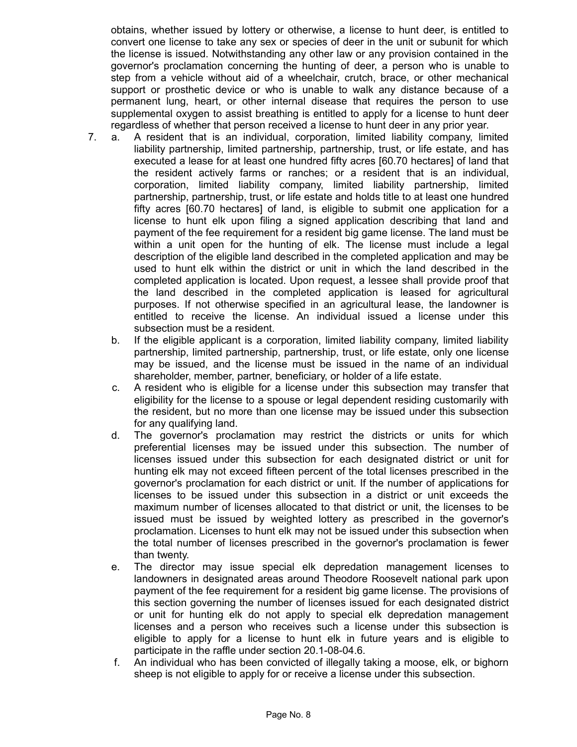obtains, whether issued by lottery or otherwise, a license to hunt deer, is entitled to convert one license to take any sex or species of deer in the unit or subunit for which the license is issued. Notwithstanding any other law or any provision contained in the governor's proclamation concerning the hunting of deer, a person who is unable to step from a vehicle without aid of a wheelchair, crutch, brace, or other mechanical support or prosthetic device or who is unable to walk any distance because of a permanent lung, heart, or other internal disease that requires the person to use supplemental oxygen to assist breathing is entitled to apply for a license to hunt deer regardless of whether that person received a license to hunt deer in any prior year.

- 7. a. A resident that is an individual, corporation, limited liability company, limited liability partnership, limited partnership, partnership, trust, or life estate, and has executed a lease for at least one hundred fifty acres [60.70 hectares] of land that the resident actively farms or ranches; or a resident that is an individual, corporation, limited liability company, limited liability partnership, limited partnership, partnership, trust, or life estate and holds title to at least one hundred fifty acres [60.70 hectares] of land, is eligible to submit one application for a license to hunt elk upon filing a signed application describing that land and payment of the fee requirement for a resident big game license. The land must be within a unit open for the hunting of elk. The license must include a legal description of the eligible land described in the completed application and may be used to hunt elk within the district or unit in which the land described in the completed application is located. Upon request, a lessee shall provide proof that the land described in the completed application is leased for agricultural purposes. If not otherwise specified in an agricultural lease, the landowner is entitled to receive the license. An individual issued a license under this subsection must be a resident.
	- b. If the eligible applicant is a corporation, limited liability company, limited liability partnership, limited partnership, partnership, trust, or life estate, only one license may be issued, and the license must be issued in the name of an individual shareholder, member, partner, beneficiary, or holder of a life estate.
	- c. A resident who is eligible for a license under this subsection may transfer that eligibility for the license to a spouse or legal dependent residing customarily with the resident, but no more than one license may be issued under this subsection for any qualifying land.
	- d. The governor's proclamation may restrict the districts or units for which preferential licenses may be issued under this subsection. The number of licenses issued under this subsection for each designated district or unit for hunting elk may not exceed fifteen percent of the total licenses prescribed in the governor's proclamation for each district or unit. If the number of applications for licenses to be issued under this subsection in a district or unit exceeds the maximum number of licenses allocated to that district or unit, the licenses to be issued must be issued by weighted lottery as prescribed in the governor's proclamation. Licenses to hunt elk may not be issued under this subsection when the total number of licenses prescribed in the governor's proclamation is fewer than twenty.
	- e. The director may issue special elk depredation management licenses to landowners in designated areas around Theodore Roosevelt national park upon payment of the fee requirement for a resident big game license. The provisions of this section governing the number of licenses issued for each designated district or unit for hunting elk do not apply to special elk depredation management licenses and a person who receives such a license under this subsection is eligible to apply for a license to hunt elk in future years and is eligible to participate in the raffle under section 20.1-08-04.6.
	- f. An individual who has been convicted of illegally taking a moose, elk, or bighorn sheep is not eligible to apply for or receive a license under this subsection.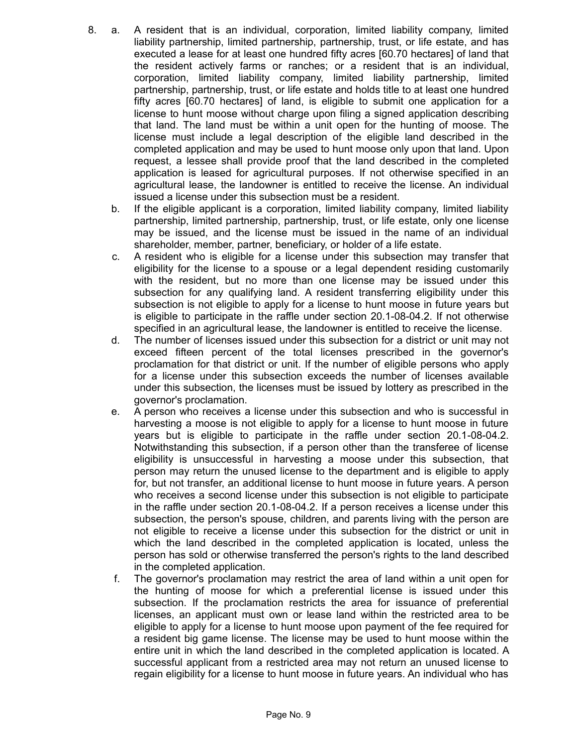- 8. a. A resident that is an individual, corporation, limited liability company, limited liability partnership, limited partnership, partnership, trust, or life estate, and has executed a lease for at least one hundred fifty acres [60.70 hectares] of land that the resident actively farms or ranches; or a resident that is an individual, corporation, limited liability company, limited liability partnership, limited partnership, partnership, trust, or life estate and holds title to at least one hundred fifty acres [60.70 hectares] of land, is eligible to submit one application for a license to hunt moose without charge upon filing a signed application describing that land. The land must be within a unit open for the hunting of moose. The license must include a legal description of the eligible land described in the completed application and may be used to hunt moose only upon that land. Upon request, a lessee shall provide proof that the land described in the completed application is leased for agricultural purposes. If not otherwise specified in an agricultural lease, the landowner is entitled to receive the license. An individual issued a license under this subsection must be a resident.
	- b. If the eligible applicant is a corporation, limited liability company, limited liability partnership, limited partnership, partnership, trust, or life estate, only one license may be issued, and the license must be issued in the name of an individual shareholder, member, partner, beneficiary, or holder of a life estate.
	- c. A resident who is eligible for a license under this subsection may transfer that eligibility for the license to a spouse or a legal dependent residing customarily with the resident, but no more than one license may be issued under this subsection for any qualifying land. A resident transferring eligibility under this subsection is not eligible to apply for a license to hunt moose in future years but is eligible to participate in the raffle under section 20.1-08-04.2. If not otherwise specified in an agricultural lease, the landowner is entitled to receive the license.
	- d. The number of licenses issued under this subsection for a district or unit may not exceed fifteen percent of the total licenses prescribed in the governor's proclamation for that district or unit. If the number of eligible persons who apply for a license under this subsection exceeds the number of licenses available under this subsection, the licenses must be issued by lottery as prescribed in the governor's proclamation.
	- e. A person who receives a license under this subsection and who is successful in harvesting a moose is not eligible to apply for a license to hunt moose in future years but is eligible to participate in the raffle under section 20.1-08-04.2. Notwithstanding this subsection, if a person other than the transferee of license eligibility is unsuccessful in harvesting a moose under this subsection, that person may return the unused license to the department and is eligible to apply for, but not transfer, an additional license to hunt moose in future years. A person who receives a second license under this subsection is not eligible to participate in the raffle under section 20.1-08-04.2. If a person receives a license under this subsection, the person's spouse, children, and parents living with the person are not eligible to receive a license under this subsection for the district or unit in which the land described in the completed application is located, unless the person has sold or otherwise transferred the person's rights to the land described in the completed application.
	- f. The governor's proclamation may restrict the area of land within a unit open for the hunting of moose for which a preferential license is issued under this subsection. If the proclamation restricts the area for issuance of preferential licenses, an applicant must own or lease land within the restricted area to be eligible to apply for a license to hunt moose upon payment of the fee required for a resident big game license. The license may be used to hunt moose within the entire unit in which the land described in the completed application is located. A successful applicant from a restricted area may not return an unused license to regain eligibility for a license to hunt moose in future years. An individual who has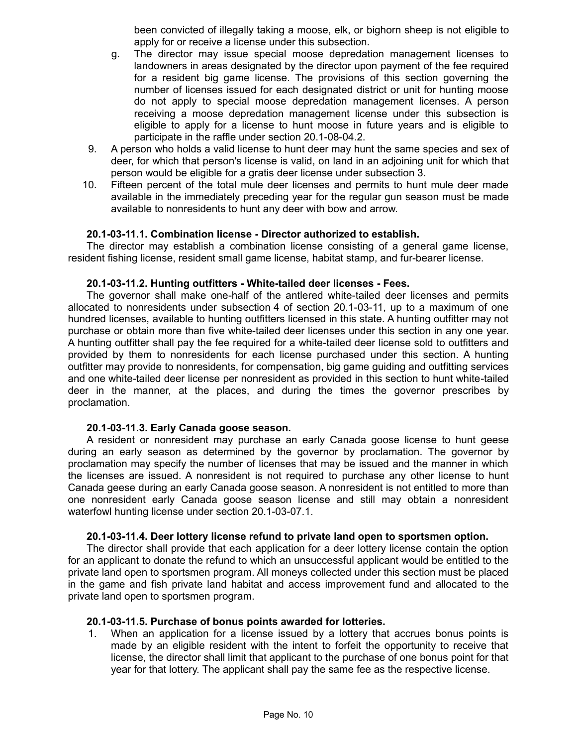been convicted of illegally taking a moose, elk, or bighorn sheep is not eligible to apply for or receive a license under this subsection.

- g. The director may issue special moose depredation management licenses to landowners in areas designated by the director upon payment of the fee required for a resident big game license. The provisions of this section governing the number of licenses issued for each designated district or unit for hunting moose do not apply to special moose depredation management licenses. A person receiving a moose depredation management license under this subsection is eligible to apply for a license to hunt moose in future years and is eligible to participate in the raffle under section 20.1-08-04.2.
- 9. A person who holds a valid license to hunt deer may hunt the same species and sex of deer, for which that person's license is valid, on land in an adjoining unit for which that person would be eligible for a gratis deer license under subsection 3.
- 10. Fifteen percent of the total mule deer licenses and permits to hunt mule deer made available in the immediately preceding year for the regular gun season must be made available to nonresidents to hunt any deer with bow and arrow.

### **20.1-03-11.1. Combination license - Director authorized to establish.**

The director may establish a combination license consisting of a general game license, resident fishing license, resident small game license, habitat stamp, and fur-bearer license.

### **20.1-03-11.2. Hunting outfitters - White-tailed deer licenses - Fees.**

The governor shall make one-half of the antlered white-tailed deer licenses and permits allocated to nonresidents under subsection 4 of section 20.1-03-11, up to a maximum of one hundred licenses, available to hunting outfitters licensed in this state. A hunting outfitter may not purchase or obtain more than five white-tailed deer licenses under this section in any one year. A hunting outfitter shall pay the fee required for a white-tailed deer license sold to outfitters and provided by them to nonresidents for each license purchased under this section. A hunting outfitter may provide to nonresidents, for compensation, big game guiding and outfitting services and one white-tailed deer license per nonresident as provided in this section to hunt white-tailed deer in the manner, at the places, and during the times the governor prescribes by proclamation.

### **20.1-03-11.3. Early Canada goose season.**

A resident or nonresident may purchase an early Canada goose license to hunt geese during an early season as determined by the governor by proclamation. The governor by proclamation may specify the number of licenses that may be issued and the manner in which the licenses are issued. A nonresident is not required to purchase any other license to hunt Canada geese during an early Canada goose season. A nonresident is not entitled to more than one nonresident early Canada goose season license and still may obtain a nonresident waterfowl hunting license under section 20.1-03-07.1.

### **20.1-03-11.4. Deer lottery license refund to private land open to sportsmen option.**

The director shall provide that each application for a deer lottery license contain the option for an applicant to donate the refund to which an unsuccessful applicant would be entitled to the private land open to sportsmen program. All moneys collected under this section must be placed in the game and fish private land habitat and access improvement fund and allocated to the private land open to sportsmen program.

### **20.1-03-11.5. Purchase of bonus points awarded for lotteries.**

1. When an application for a license issued by a lottery that accrues bonus points is made by an eligible resident with the intent to forfeit the opportunity to receive that license, the director shall limit that applicant to the purchase of one bonus point for that year for that lottery. The applicant shall pay the same fee as the respective license.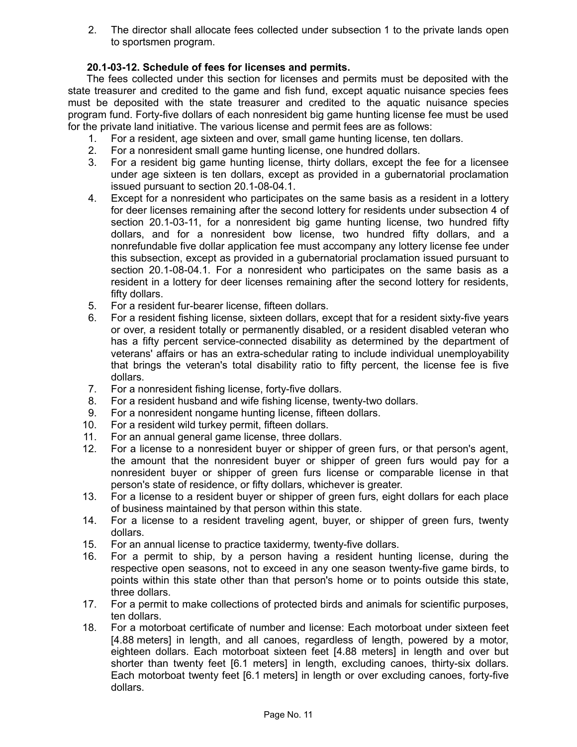2. The director shall allocate fees collected under subsection 1 to the private lands open to sportsmen program.

# **20.1-03-12. Schedule of fees for licenses and permits.**

The fees collected under this section for licenses and permits must be deposited with the state treasurer and credited to the game and fish fund, except aquatic nuisance species fees must be deposited with the state treasurer and credited to the aquatic nuisance species program fund. Forty-five dollars of each nonresident big game hunting license fee must be used for the private land initiative. The various license and permit fees are as follows:

- 1. For a resident, age sixteen and over, small game hunting license, ten dollars.
- 2. For a nonresident small game hunting license, one hundred dollars.
- 3. For a resident big game hunting license, thirty dollars, except the fee for a licensee under age sixteen is ten dollars, except as provided in a gubernatorial proclamation issued pursuant to section 20.1-08-04.1.
- 4. Except for a nonresident who participates on the same basis as a resident in a lottery for deer licenses remaining after the second lottery for residents under subsection 4 of section 20.1-03-11, for a nonresident big game hunting license, two hundred fifty dollars, and for a nonresident bow license, two hundred fifty dollars, and a nonrefundable five dollar application fee must accompany any lottery license fee under this subsection, except as provided in a gubernatorial proclamation issued pursuant to section 20.1-08-04.1. For a nonresident who participates on the same basis as a resident in a lottery for deer licenses remaining after the second lottery for residents, fifty dollars.
- 5. For a resident fur-bearer license, fifteen dollars.
- 6. For a resident fishing license, sixteen dollars, except that for a resident sixty-five years or over, a resident totally or permanently disabled, or a resident disabled veteran who has a fifty percent service-connected disability as determined by the department of veterans' affairs or has an extra-schedular rating to include individual unemployability that brings the veteran's total disability ratio to fifty percent, the license fee is five dollars.
- 7. For a nonresident fishing license, forty-five dollars.
- 8. For a resident husband and wife fishing license, twenty-two dollars.
- 9. For a nonresident nongame hunting license, fifteen dollars.
- 10. For a resident wild turkey permit, fifteen dollars.
- 11. For an annual general game license, three dollars.
- 12. For a license to a nonresident buyer or shipper of green furs, or that person's agent, the amount that the nonresident buyer or shipper of green furs would pay for a nonresident buyer or shipper of green furs license or comparable license in that person's state of residence, or fifty dollars, whichever is greater.
- 13. For a license to a resident buyer or shipper of green furs, eight dollars for each place of business maintained by that person within this state.
- 14. For a license to a resident traveling agent, buyer, or shipper of green furs, twenty dollars.
- 15. For an annual license to practice taxidermy, twenty-five dollars.
- 16. For a permit to ship, by a person having a resident hunting license, during the respective open seasons, not to exceed in any one season twenty-five game birds, to points within this state other than that person's home or to points outside this state, three dollars.
- 17. For a permit to make collections of protected birds and animals for scientific purposes, ten dollars.
- 18. For a motorboat certificate of number and license: Each motorboat under sixteen feet [4.88 meters] in length, and all canoes, regardless of length, powered by a motor, eighteen dollars. Each motorboat sixteen feet [4.88 meters] in length and over but shorter than twenty feet [6.1 meters] in length, excluding canoes, thirty-six dollars. Each motorboat twenty feet [6.1 meters] in length or over excluding canoes, forty-five dollars.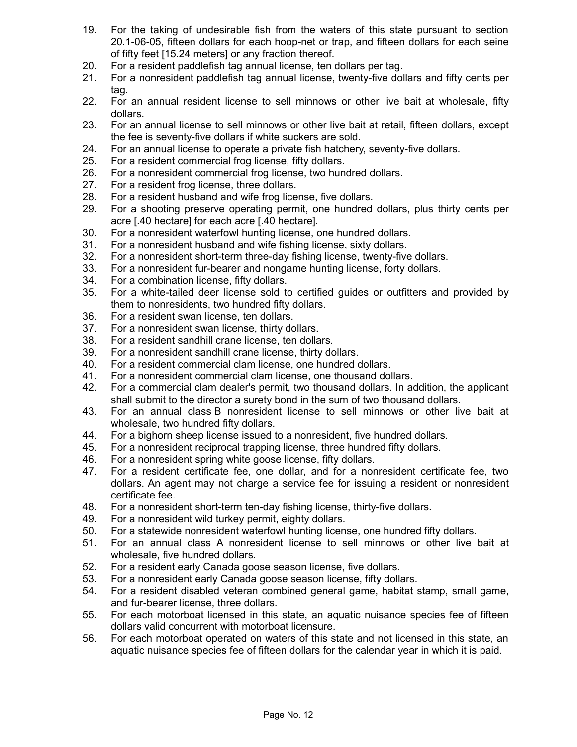- 19. For the taking of undesirable fish from the waters of this state pursuant to section 20.1-06-05, fifteen dollars for each hoop-net or trap, and fifteen dollars for each seine of fifty feet [15.24 meters] or any fraction thereof.
- 20. For a resident paddlefish tag annual license, ten dollars per tag.
- 21. For a nonresident paddlefish tag annual license, twenty-five dollars and fifty cents per tag.
- 22. For an annual resident license to sell minnows or other live bait at wholesale, fifty dollars.
- 23. For an annual license to sell minnows or other live bait at retail, fifteen dollars, except the fee is seventy-five dollars if white suckers are sold.
- 24. For an annual license to operate a private fish hatchery, seventy-five dollars.
- 25. For a resident commercial frog license, fifty dollars.
- 26. For a nonresident commercial frog license, two hundred dollars.
- 27. For a resident frog license, three dollars.
- 28. For a resident husband and wife frog license, five dollars.
- 29. For a shooting preserve operating permit, one hundred dollars, plus thirty cents per acre [.40 hectare] for each acre [.40 hectare].
- 30. For a nonresident waterfowl hunting license, one hundred dollars.
- 31. For a nonresident husband and wife fishing license, sixty dollars.
- 32. For a nonresident short-term three-day fishing license, twenty-five dollars.
- 33. For a nonresident fur-bearer and nongame hunting license, forty dollars.
- 34. For a combination license, fifty dollars.
- 35. For a white-tailed deer license sold to certified guides or outfitters and provided by them to nonresidents, two hundred fifty dollars.
- 36. For a resident swan license, ten dollars.
- 37. For a nonresident swan license, thirty dollars.
- 38. For a resident sandhill crane license, ten dollars.
- 39. For a nonresident sandhill crane license, thirty dollars.
- 40. For a resident commercial clam license, one hundred dollars.
- 41. For a nonresident commercial clam license, one thousand dollars.
- 42. For a commercial clam dealer's permit, two thousand dollars. In addition, the applicant shall submit to the director a surety bond in the sum of two thousand dollars.
- 43. For an annual class B nonresident license to sell minnows or other live bait at wholesale, two hundred fifty dollars.
- 44. For a bighorn sheep license issued to a nonresident, five hundred dollars.
- 45. For a nonresident reciprocal trapping license, three hundred fifty dollars.
- 46. For a nonresident spring white goose license, fifty dollars.
- 47. For a resident certificate fee, one dollar, and for a nonresident certificate fee, two dollars. An agent may not charge a service fee for issuing a resident or nonresident certificate fee.
- 48. For a nonresident short-term ten-day fishing license, thirty-five dollars.
- 49. For a nonresident wild turkey permit, eighty dollars.
- 50. For a statewide nonresident waterfowl hunting license, one hundred fifty dollars.
- 51. For an annual class A nonresident license to sell minnows or other live bait at wholesale, five hundred dollars.
- 52. For a resident early Canada goose season license, five dollars.
- 53. For a nonresident early Canada goose season license, fifty dollars.
- 54. For a resident disabled veteran combined general game, habitat stamp, small game, and fur-bearer license, three dollars.
- 55. For each motorboat licensed in this state, an aquatic nuisance species fee of fifteen dollars valid concurrent with motorboat licensure.
- 56. For each motorboat operated on waters of this state and not licensed in this state, an aquatic nuisance species fee of fifteen dollars for the calendar year in which it is paid.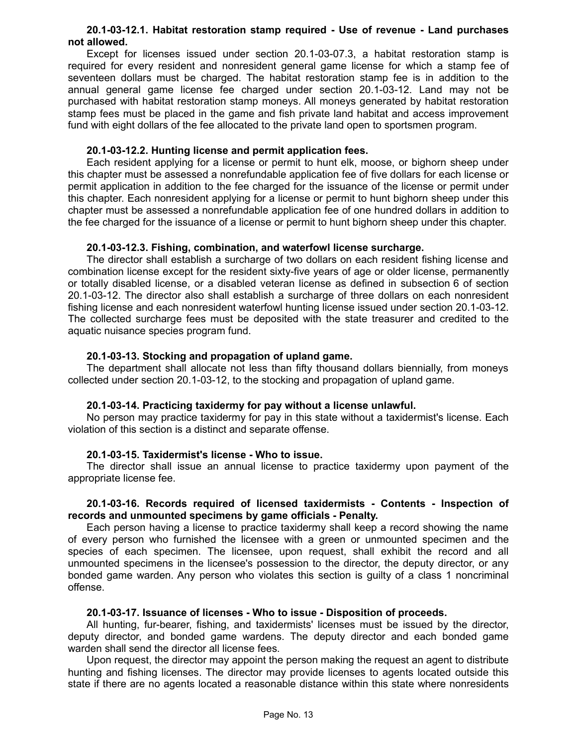### **20.1-03-12.1. Habitat restoration stamp required - Use of revenue - Land purchases not allowed.**

Except for licenses issued under section 20.1-03-07.3, a habitat restoration stamp is required for every resident and nonresident general game license for which a stamp fee of seventeen dollars must be charged. The habitat restoration stamp fee is in addition to the annual general game license fee charged under section 20.1-03-12. Land may not be purchased with habitat restoration stamp moneys. All moneys generated by habitat restoration stamp fees must be placed in the game and fish private land habitat and access improvement fund with eight dollars of the fee allocated to the private land open to sportsmen program.

### **20.1-03-12.2. Hunting license and permit application fees.**

Each resident applying for a license or permit to hunt elk, moose, or bighorn sheep under this chapter must be assessed a nonrefundable application fee of five dollars for each license or permit application in addition to the fee charged for the issuance of the license or permit under this chapter. Each nonresident applying for a license or permit to hunt bighorn sheep under this chapter must be assessed a nonrefundable application fee of one hundred dollars in addition to the fee charged for the issuance of a license or permit to hunt bighorn sheep under this chapter.

### **20.1-03-12.3. Fishing, combination, and waterfowl license surcharge.**

The director shall establish a surcharge of two dollars on each resident fishing license and combination license except for the resident sixty-five years of age or older license, permanently or totally disabled license, or a disabled veteran license as defined in subsection 6 of section 20.1-03-12. The director also shall establish a surcharge of three dollars on each nonresident fishing license and each nonresident waterfowl hunting license issued under section 20.1-03-12. The collected surcharge fees must be deposited with the state treasurer and credited to the aquatic nuisance species program fund.

### **20.1-03-13. Stocking and propagation of upland game.**

The department shall allocate not less than fifty thousand dollars biennially, from moneys collected under section 20.1-03-12, to the stocking and propagation of upland game.

### **20.1-03-14. Practicing taxidermy for pay without a license unlawful.**

No person may practice taxidermy for pay in this state without a taxidermist's license. Each violation of this section is a distinct and separate offense.

### **20.1-03-15. Taxidermist's license - Who to issue.**

The director shall issue an annual license to practice taxidermy upon payment of the appropriate license fee.

### **20.1-03-16. Records required of licensed taxidermists - Contents - Inspection of records and unmounted specimens by game officials - Penalty.**

Each person having a license to practice taxidermy shall keep a record showing the name of every person who furnished the licensee with a green or unmounted specimen and the species of each specimen. The licensee, upon request, shall exhibit the record and all unmounted specimens in the licensee's possession to the director, the deputy director, or any bonded game warden. Any person who violates this section is guilty of a class 1 noncriminal offense.

## **20.1-03-17. Issuance of licenses - Who to issue - Disposition of proceeds.**

All hunting, fur-bearer, fishing, and taxidermists' licenses must be issued by the director, deputy director, and bonded game wardens. The deputy director and each bonded game warden shall send the director all license fees.

Upon request, the director may appoint the person making the request an agent to distribute hunting and fishing licenses. The director may provide licenses to agents located outside this state if there are no agents located a reasonable distance within this state where nonresidents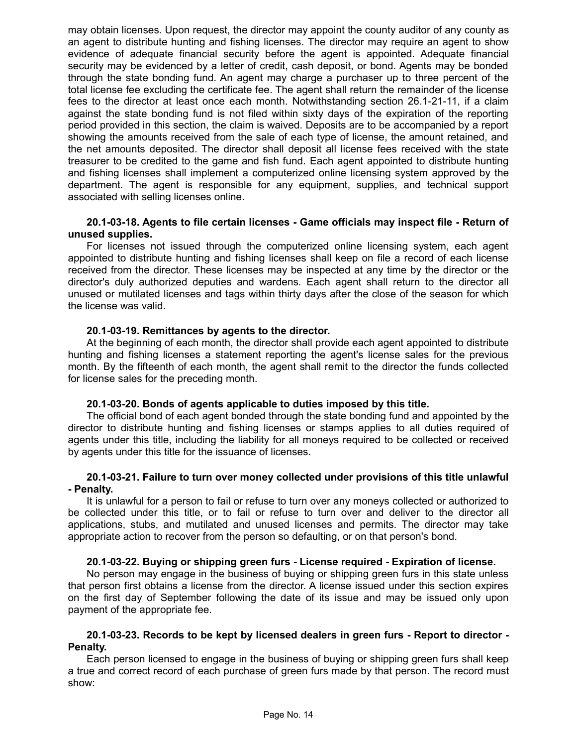may obtain licenses. Upon request, the director may appoint the county auditor of any county as an agent to distribute hunting and fishing licenses. The director may require an agent to show evidence of adequate financial security before the agent is appointed. Adequate financial security may be evidenced by a letter of credit, cash deposit, or bond. Agents may be bonded through the state bonding fund. An agent may charge a purchaser up to three percent of the total license fee excluding the certificate fee. The agent shall return the remainder of the license fees to the director at least once each month. Notwithstanding section 26.1-21-11, if a claim against the state bonding fund is not filed within sixty days of the expiration of the reporting period provided in this section, the claim is waived. Deposits are to be accompanied by a report showing the amounts received from the sale of each type of license, the amount retained, and the net amounts deposited. The director shall deposit all license fees received with the state treasurer to be credited to the game and fish fund. Each agent appointed to distribute hunting and fishing licenses shall implement a computerized online licensing system approved by the department. The agent is responsible for any equipment, supplies, and technical support associated with selling licenses online.

### **20.1-03-18. Agents to file certain licenses - Game officials may inspect file - Return of unused supplies.**

For licenses not issued through the computerized online licensing system, each agent appointed to distribute hunting and fishing licenses shall keep on file a record of each license received from the director. These licenses may be inspected at any time by the director or the director's duly authorized deputies and wardens. Each agent shall return to the director all unused or mutilated licenses and tags within thirty days after the close of the season for which the license was valid.

### **20.1-03-19. Remittances by agents to the director.**

At the beginning of each month, the director shall provide each agent appointed to distribute hunting and fishing licenses a statement reporting the agent's license sales for the previous month. By the fifteenth of each month, the agent shall remit to the director the funds collected for license sales for the preceding month.

### **20.1-03-20. Bonds of agents applicable to duties imposed by this title.**

The official bond of each agent bonded through the state bonding fund and appointed by the director to distribute hunting and fishing licenses or stamps applies to all duties required of agents under this title, including the liability for all moneys required to be collected or received by agents under this title for the issuance of licenses.

### **20.1-03-21. Failure to turn over money collected under provisions of this title unlawful - Penalty.**

It is unlawful for a person to fail or refuse to turn over any moneys collected or authorized to be collected under this title, or to fail or refuse to turn over and deliver to the director all applications, stubs, and mutilated and unused licenses and permits. The director may take appropriate action to recover from the person so defaulting, or on that person's bond.

### **20.1-03-22. Buying or shipping green furs - License required - Expiration of license.**

No person may engage in the business of buying or shipping green furs in this state unless that person first obtains a license from the director. A license issued under this section expires on the first day of September following the date of its issue and may be issued only upon payment of the appropriate fee.

### **20.1-03-23. Records to be kept by licensed dealers in green furs - Report to director - Penalty.**

Each person licensed to engage in the business of buying or shipping green furs shall keep a true and correct record of each purchase of green furs made by that person. The record must show: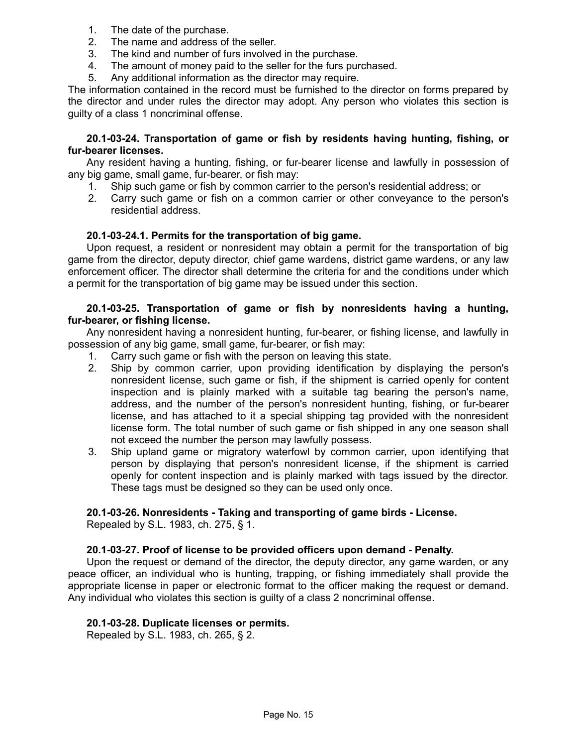- 1. The date of the purchase.
- 2. The name and address of the seller.
- 3. The kind and number of furs involved in the purchase.
- 4. The amount of money paid to the seller for the furs purchased.
- 5. Any additional information as the director may require.

The information contained in the record must be furnished to the director on forms prepared by the director and under rules the director may adopt. Any person who violates this section is guilty of a class 1 noncriminal offense.

### **20.1-03-24. Transportation of game or fish by residents having hunting, fishing, or fur-bearer licenses.**

Any resident having a hunting, fishing, or fur-bearer license and lawfully in possession of any big game, small game, fur-bearer, or fish may:

- 1. Ship such game or fish by common carrier to the person's residential address; or
- 2. Carry such game or fish on a common carrier or other conveyance to the person's residential address.

### **20.1-03-24.1. Permits for the transportation of big game.**

Upon request, a resident or nonresident may obtain a permit for the transportation of big game from the director, deputy director, chief game wardens, district game wardens, or any law enforcement officer. The director shall determine the criteria for and the conditions under which a permit for the transportation of big game may be issued under this section.

### **20.1-03-25. Transportation of game or fish by nonresidents having a hunting, fur-bearer, or fishing license.**

Any nonresident having a nonresident hunting, fur-bearer, or fishing license, and lawfully in possession of any big game, small game, fur-bearer, or fish may:

- 1. Carry such game or fish with the person on leaving this state.
- 2. Ship by common carrier, upon providing identification by displaying the person's nonresident license, such game or fish, if the shipment is carried openly for content inspection and is plainly marked with a suitable tag bearing the person's name, address, and the number of the person's nonresident hunting, fishing, or fur-bearer license, and has attached to it a special shipping tag provided with the nonresident license form. The total number of such game or fish shipped in any one season shall not exceed the number the person may lawfully possess.
- 3. Ship upland game or migratory waterfowl by common carrier, upon identifying that person by displaying that person's nonresident license, if the shipment is carried openly for content inspection and is plainly marked with tags issued by the director. These tags must be designed so they can be used only once.

## **20.1-03-26. Nonresidents - Taking and transporting of game birds - License.**

Repealed by S.L. 1983, ch. 275, § 1.

### **20.1-03-27. Proof of license to be provided officers upon demand - Penalty.**

Upon the request or demand of the director, the deputy director, any game warden, or any peace officer, an individual who is hunting, trapping, or fishing immediately shall provide the appropriate license in paper or electronic format to the officer making the request or demand. Any individual who violates this section is guilty of a class 2 noncriminal offense.

### **20.1-03-28. Duplicate licenses or permits.**

Repealed by S.L. 1983, ch. 265, § 2.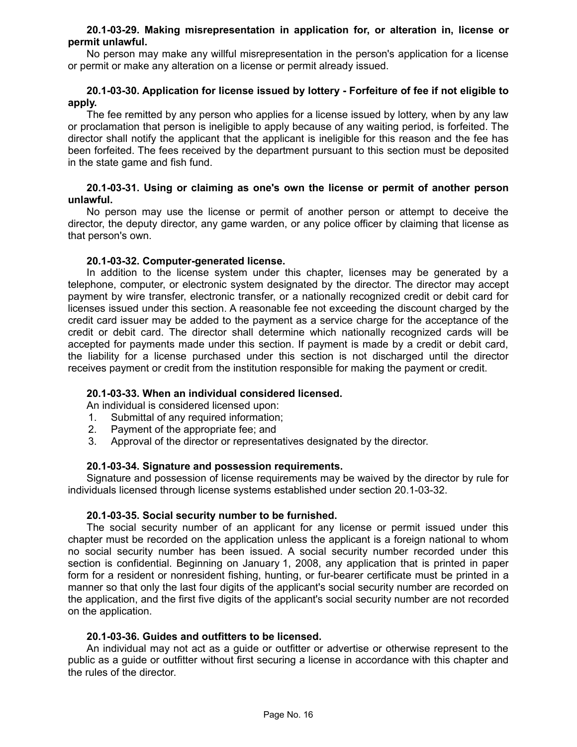### **20.1-03-29. Making misrepresentation in application for, or alteration in, license or permit unlawful.**

No person may make any willful misrepresentation in the person's application for a license or permit or make any alteration on a license or permit already issued.

## **20.1-03-30. Application for license issued by lottery - Forfeiture of fee if not eligible to apply.**

The fee remitted by any person who applies for a license issued by lottery, when by any law or proclamation that person is ineligible to apply because of any waiting period, is forfeited. The director shall notify the applicant that the applicant is ineligible for this reason and the fee has been forfeited. The fees received by the department pursuant to this section must be deposited in the state game and fish fund.

### **20.1-03-31. Using or claiming as one's own the license or permit of another person unlawful.**

No person may use the license or permit of another person or attempt to deceive the director, the deputy director, any game warden, or any police officer by claiming that license as that person's own.

### **20.1-03-32. Computer-generated license.**

In addition to the license system under this chapter, licenses may be generated by a telephone, computer, or electronic system designated by the director. The director may accept payment by wire transfer, electronic transfer, or a nationally recognized credit or debit card for licenses issued under this section. A reasonable fee not exceeding the discount charged by the credit card issuer may be added to the payment as a service charge for the acceptance of the credit or debit card. The director shall determine which nationally recognized cards will be accepted for payments made under this section. If payment is made by a credit or debit card, the liability for a license purchased under this section is not discharged until the director receives payment or credit from the institution responsible for making the payment or credit.

## **20.1-03-33. When an individual considered licensed.**

An individual is considered licensed upon:

- 1. Submittal of any required information;
- 2. Payment of the appropriate fee; and
- 3. Approval of the director or representatives designated by the director.

### **20.1-03-34. Signature and possession requirements.**

Signature and possession of license requirements may be waived by the director by rule for individuals licensed through license systems established under section 20.1-03-32.

### **20.1-03-35. Social security number to be furnished.**

The social security number of an applicant for any license or permit issued under this chapter must be recorded on the application unless the applicant is a foreign national to whom no social security number has been issued. A social security number recorded under this section is confidential. Beginning on January 1, 2008, any application that is printed in paper form for a resident or nonresident fishing, hunting, or fur-bearer certificate must be printed in a manner so that only the last four digits of the applicant's social security number are recorded on the application, and the first five digits of the applicant's social security number are not recorded on the application.

### **20.1-03-36. Guides and outfitters to be licensed.**

An individual may not act as a guide or outfitter or advertise or otherwise represent to the public as a guide or outfitter without first securing a license in accordance with this chapter and the rules of the director.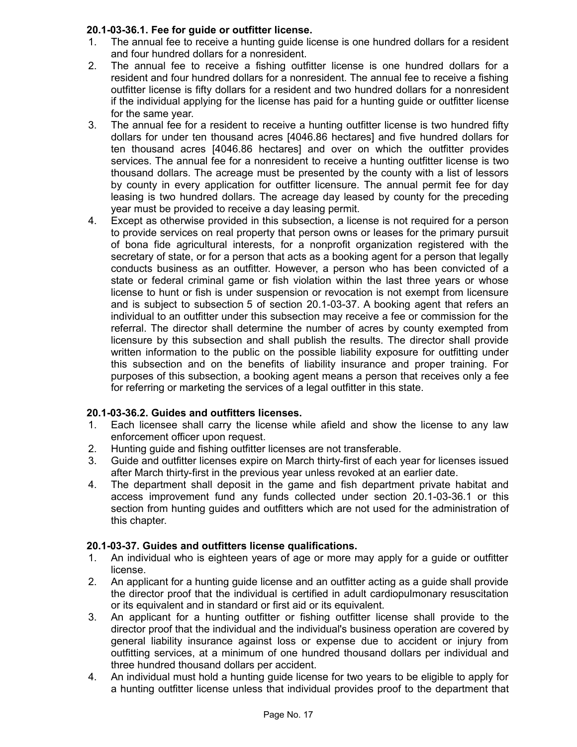## **20.1-03-36.1. Fee for guide or outfitter license.**

- 1. The annual fee to receive a hunting guide license is one hundred dollars for a resident and four hundred dollars for a nonresident.
- 2. The annual fee to receive a fishing outfitter license is one hundred dollars for a resident and four hundred dollars for a nonresident. The annual fee to receive a fishing outfitter license is fifty dollars for a resident and two hundred dollars for a nonresident if the individual applying for the license has paid for a hunting guide or outfitter license for the same year.
- 3. The annual fee for a resident to receive a hunting outfitter license is two hundred fifty dollars for under ten thousand acres [4046.86 hectares] and five hundred dollars for ten thousand acres [4046.86 hectares] and over on which the outfitter provides services. The annual fee for a nonresident to receive a hunting outfitter license is two thousand dollars. The acreage must be presented by the county with a list of lessors by county in every application for outfitter licensure. The annual permit fee for day leasing is two hundred dollars. The acreage day leased by county for the preceding year must be provided to receive a day leasing permit.
- 4. Except as otherwise provided in this subsection, a license is not required for a person to provide services on real property that person owns or leases for the primary pursuit of bona fide agricultural interests, for a nonprofit organization registered with the secretary of state, or for a person that acts as a booking agent for a person that legally conducts business as an outfitter. However, a person who has been convicted of a state or federal criminal game or fish violation within the last three years or whose license to hunt or fish is under suspension or revocation is not exempt from licensure and is subject to subsection 5 of section 20.1-03-37. A booking agent that refers an individual to an outfitter under this subsection may receive a fee or commission for the referral. The director shall determine the number of acres by county exempted from licensure by this subsection and shall publish the results. The director shall provide written information to the public on the possible liability exposure for outfitting under this subsection and on the benefits of liability insurance and proper training. For purposes of this subsection, a booking agent means a person that receives only a fee for referring or marketing the services of a legal outfitter in this state.

# **20.1-03-36.2. Guides and outfitters licenses.**

- 1. Each licensee shall carry the license while afield and show the license to any law enforcement officer upon request.
- 2. Hunting guide and fishing outfitter licenses are not transferable.
- 3. Guide and outfitter licenses expire on March thirty-first of each year for licenses issued after March thirty-first in the previous year unless revoked at an earlier date.
- 4. The department shall deposit in the game and fish department private habitat and access improvement fund any funds collected under section 20.1-03-36.1 or this section from hunting guides and outfitters which are not used for the administration of this chapter.

# **20.1-03-37. Guides and outfitters license qualifications.**

- 1. An individual who is eighteen years of age or more may apply for a guide or outfitter license.
- 2. An applicant for a hunting guide license and an outfitter acting as a guide shall provide the director proof that the individual is certified in adult cardiopulmonary resuscitation or its equivalent and in standard or first aid or its equivalent.
- 3. An applicant for a hunting outfitter or fishing outfitter license shall provide to the director proof that the individual and the individual's business operation are covered by general liability insurance against loss or expense due to accident or injury from outfitting services, at a minimum of one hundred thousand dollars per individual and three hundred thousand dollars per accident.
- 4. An individual must hold a hunting guide license for two years to be eligible to apply for a hunting outfitter license unless that individual provides proof to the department that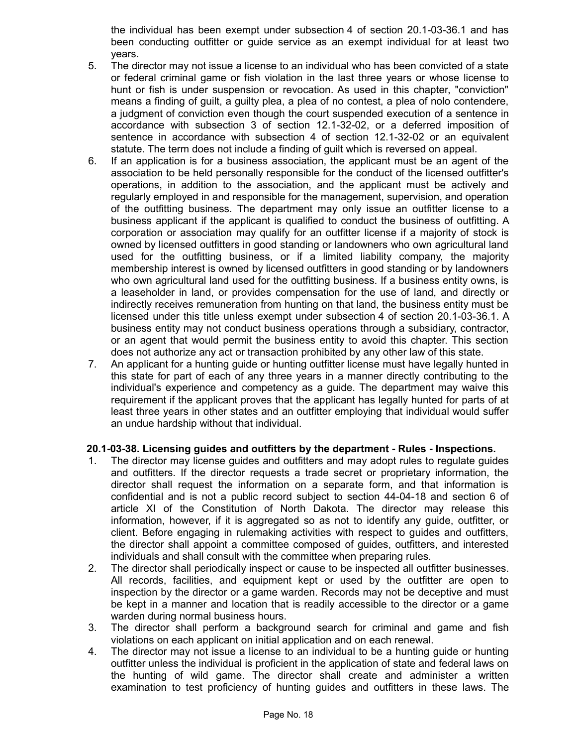the individual has been exempt under subsection 4 of section 20.1-03-36.1 and has been conducting outfitter or guide service as an exempt individual for at least two years.

- 5. The director may not issue a license to an individual who has been convicted of a state or federal criminal game or fish violation in the last three years or whose license to hunt or fish is under suspension or revocation. As used in this chapter, "conviction" means a finding of guilt, a guilty plea, a plea of no contest, a plea of nolo contendere, a judgment of conviction even though the court suspended execution of a sentence in accordance with subsection 3 of section 12.1-32-02, or a deferred imposition of sentence in accordance with subsection 4 of section 12.1-32-02 or an equivalent statute. The term does not include a finding of guilt which is reversed on appeal.
- 6. If an application is for a business association, the applicant must be an agent of the association to be held personally responsible for the conduct of the licensed outfitter's operations, in addition to the association, and the applicant must be actively and regularly employed in and responsible for the management, supervision, and operation of the outfitting business. The department may only issue an outfitter license to a business applicant if the applicant is qualified to conduct the business of outfitting. A corporation or association may qualify for an outfitter license if a majority of stock is owned by licensed outfitters in good standing or landowners who own agricultural land used for the outfitting business, or if a limited liability company, the majority membership interest is owned by licensed outfitters in good standing or by landowners who own agricultural land used for the outfitting business. If a business entity owns, is a leaseholder in land, or provides compensation for the use of land, and directly or indirectly receives remuneration from hunting on that land, the business entity must be licensed under this title unless exempt under subsection 4 of section 20.1-03-36.1. A business entity may not conduct business operations through a subsidiary, contractor, or an agent that would permit the business entity to avoid this chapter. This section does not authorize any act or transaction prohibited by any other law of this state.
- 7. An applicant for a hunting guide or hunting outfitter license must have legally hunted in this state for part of each of any three years in a manner directly contributing to the individual's experience and competency as a guide. The department may waive this requirement if the applicant proves that the applicant has legally hunted for parts of at least three years in other states and an outfitter employing that individual would suffer an undue hardship without that individual.

## **20.1-03-38. Licensing guides and outfitters by the department - Rules - Inspections.**

- 1. The director may license guides and outfitters and may adopt rules to regulate guides and outfitters. If the director requests a trade secret or proprietary information, the director shall request the information on a separate form, and that information is confidential and is not a public record subject to section 44-04-18 and section 6 of article XI of the Constitution of North Dakota. The director may release this information, however, if it is aggregated so as not to identify any guide, outfitter, or client. Before engaging in rulemaking activities with respect to guides and outfitters, the director shall appoint a committee composed of guides, outfitters, and interested individuals and shall consult with the committee when preparing rules.
- 2. The director shall periodically inspect or cause to be inspected all outfitter businesses. All records, facilities, and equipment kept or used by the outfitter are open to inspection by the director or a game warden. Records may not be deceptive and must be kept in a manner and location that is readily accessible to the director or a game warden during normal business hours.
- 3. The director shall perform a background search for criminal and game and fish violations on each applicant on initial application and on each renewal.
- 4. The director may not issue a license to an individual to be a hunting guide or hunting outfitter unless the individual is proficient in the application of state and federal laws on the hunting of wild game. The director shall create and administer a written examination to test proficiency of hunting guides and outfitters in these laws. The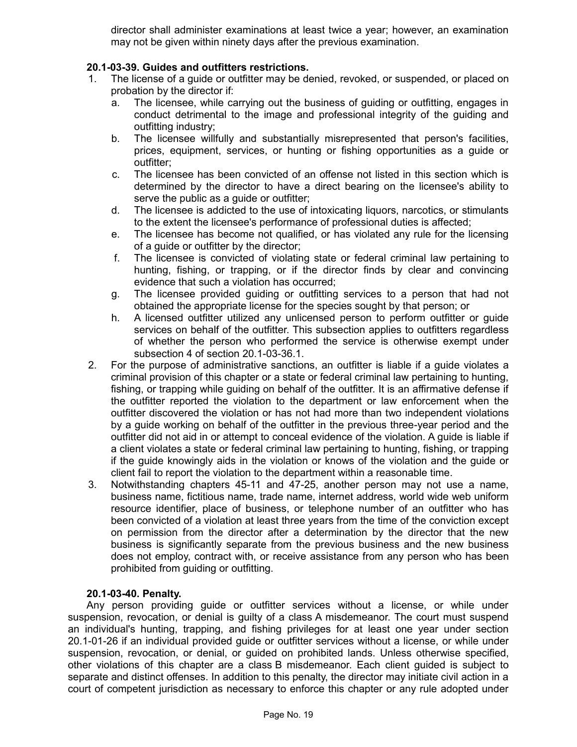director shall administer examinations at least twice a year; however, an examination may not be given within ninety days after the previous examination.

## **20.1-03-39. Guides and outfitters restrictions.**

- 1. The license of a guide or outfitter may be denied, revoked, or suspended, or placed on probation by the director if:
	- a. The licensee, while carrying out the business of guiding or outfitting, engages in conduct detrimental to the image and professional integrity of the guiding and outfitting industry;
	- b. The licensee willfully and substantially misrepresented that person's facilities, prices, equipment, services, or hunting or fishing opportunities as a guide or outfitter;
	- c. The licensee has been convicted of an offense not listed in this section which is determined by the director to have a direct bearing on the licensee's ability to serve the public as a guide or outfitter;
	- d. The licensee is addicted to the use of intoxicating liquors, narcotics, or stimulants to the extent the licensee's performance of professional duties is affected;
	- e. The licensee has become not qualified, or has violated any rule for the licensing of a guide or outfitter by the director;
	- f. The licensee is convicted of violating state or federal criminal law pertaining to hunting, fishing, or trapping, or if the director finds by clear and convincing evidence that such a violation has occurred;
	- g. The licensee provided guiding or outfitting services to a person that had not obtained the appropriate license for the species sought by that person; or
	- h. A licensed outfitter utilized any unlicensed person to perform outfitter or guide services on behalf of the outfitter. This subsection applies to outfitters regardless of whether the person who performed the service is otherwise exempt under subsection 4 of section 20.1-03-36.1.
- 2. For the purpose of administrative sanctions, an outfitter is liable if a guide violates a criminal provision of this chapter or a state or federal criminal law pertaining to hunting, fishing, or trapping while guiding on behalf of the outfitter. It is an affirmative defense if the outfitter reported the violation to the department or law enforcement when the outfitter discovered the violation or has not had more than two independent violations by a guide working on behalf of the outfitter in the previous three-year period and the outfitter did not aid in or attempt to conceal evidence of the violation. A guide is liable if a client violates a state or federal criminal law pertaining to hunting, fishing, or trapping if the guide knowingly aids in the violation or knows of the violation and the guide or client fail to report the violation to the department within a reasonable time.
- 3. Notwithstanding chapters 45-11 and 47-25, another person may not use a name, business name, fictitious name, trade name, internet address, world wide web uniform resource identifier, place of business, or telephone number of an outfitter who has been convicted of a violation at least three years from the time of the conviction except on permission from the director after a determination by the director that the new business is significantly separate from the previous business and the new business does not employ, contract with, or receive assistance from any person who has been prohibited from guiding or outfitting.

## **20.1-03-40. Penalty.**

Any person providing guide or outfitter services without a license, or while under suspension, revocation, or denial is guilty of a class A misdemeanor. The court must suspend an individual's hunting, trapping, and fishing privileges for at least one year under section 20.1-01-26 if an individual provided guide or outfitter services without a license, or while under suspension, revocation, or denial, or guided on prohibited lands. Unless otherwise specified, other violations of this chapter are a class B misdemeanor. Each client guided is subject to separate and distinct offenses. In addition to this penalty, the director may initiate civil action in a court of competent jurisdiction as necessary to enforce this chapter or any rule adopted under